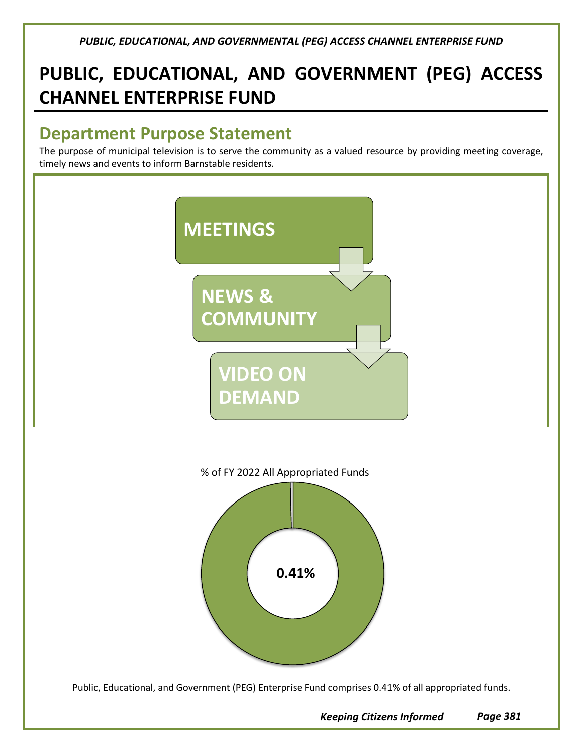# **PUBLIC, EDUCATIONAL, AND GOVERNMENT (PEG) ACCESS CHANNEL ENTERPRISE FUND**

## **Department Purpose Statement**

The purpose of municipal television is to serve the community as a valued resource by providing meeting coverage, timely news and events to inform Barnstable residents.



*Keeping Citizens Informed Page 381*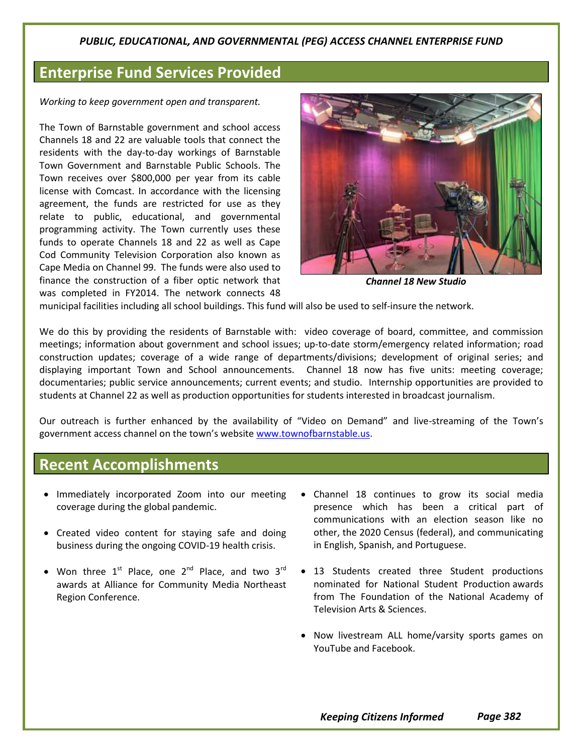## **Enterprise Fund Services Provided**

*Working to keep government open and transparent.*

The Town of Barnstable government and school access Channels 18 and 22 are valuable tools that connect the residents with the day-to-day workings of Barnstable Town Government and Barnstable Public Schools. The Town receives over \$800,000 per year from its cable license with Comcast. In accordance with the licensing agreement, the funds are restricted for use as they relate to public, educational, and governmental programming activity. The Town currently uses these funds to operate Channels 18 and 22 as well as Cape Cod Community Television Corporation also known as Cape Media on Channel 99. The funds were also used to finance the construction of a fiber optic network that was completed in FY2014. The network connects 48



*Channel 18 New Studio*

municipal facilities including all school buildings. This fund will also be used to self-insure the network.

We do this by providing the residents of Barnstable with: video coverage of board, committee, and commission meetings; information about government and school issues; up-to-date storm/emergency related information; road construction updates; coverage of a wide range of departments/divisions; development of original series; and displaying important Town and School announcements. Channel 18 now has five units: meeting coverage; documentaries; public service announcements; current events; and studio. Internship opportunities are provided to students at Channel 22 as well as production opportunities for students interested in broadcast journalism.

Our outreach is further enhanced by the availability of "Video on Demand" and live-streaming of the Town's government access channel on the town's website [www.townofbarnstable.us.](http://www.townofbarnstable.us/)

### **Recent Accomplishments**

- Immediately incorporated Zoom into our meeting coverage during the global pandemic.
- Created video content for staying safe and doing business during the ongoing COVID-19 health crisis.
- Won three  $1^{st}$  Place, one  $2^{nd}$  Place, and two  $3^{rd}$ awards at Alliance for Community Media Northeast Region Conference.
- Channel 18 continues to grow its social media presence which has been a critical part of communications with an election season like no other, the 2020 Census (federal), and communicating in English, Spanish, and Portuguese.
- 13 Students created three Student productions nominated for National Student Production awards from The Foundation of the National Academy of Television Arts & Sciences.
- Now livestream ALL home/varsity sports games on YouTube and Facebook.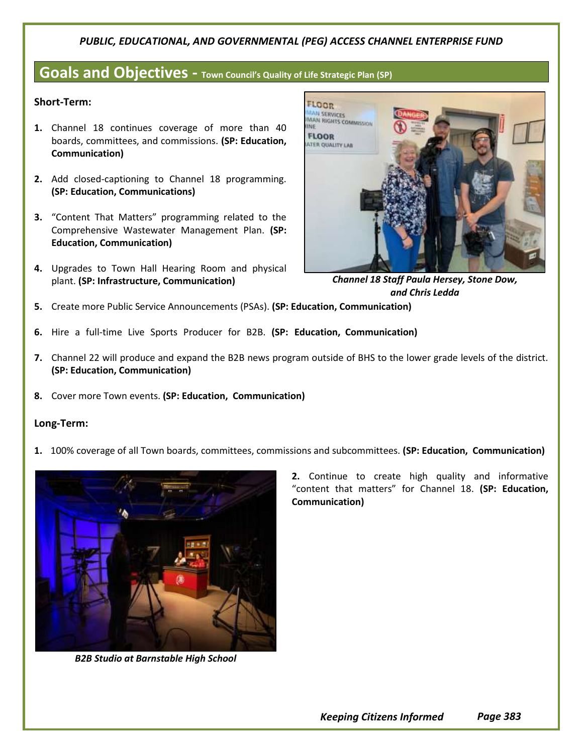### **Goals and Objectives - Town Council's Quality of Life Strategic Plan (SP)**

#### **Short-Term:**

- **1.** Channel 18 continues coverage of more than 40 boards, committees, and commissions. **(SP: Education, Communication)**
- **2.** Add closed-captioning to Channel 18 programming. **(SP: Education, Communications)**
- **3.** "Content That Matters" programming related to the Comprehensive Wastewater Management Plan. **(SP: Education, Communication)**
- **4.** Upgrades to Town Hall Hearing Room and physical plant. **(SP: Infrastructure, Communication)**



*Channel 18 Staff Paula Hersey, Stone Dow, and Chris Ledda*

- **5.** Create more Public Service Announcements (PSAs). **(SP: Education, Communication)**
- **6.** Hire a full-time Live Sports Producer for B2B. **(SP: Education, Communication)**
- **7.** Channel 22 will produce and expand the B2B news program outside of BHS to the lower grade levels of the district. **(SP: Education, Communication)**
- **8.** Cover more Town events. **(SP: Education, Communication)**

#### **Long-Term:**

**1.** 100% coverage of all Town boards, committees, commissions and subcommittees. **(SP: Education, Communication)**



*B2B Studio at Barnstable High School*

**2.** Continue to create high quality and informative "content that matters" for Channel 18. **(SP: Education, Communication)**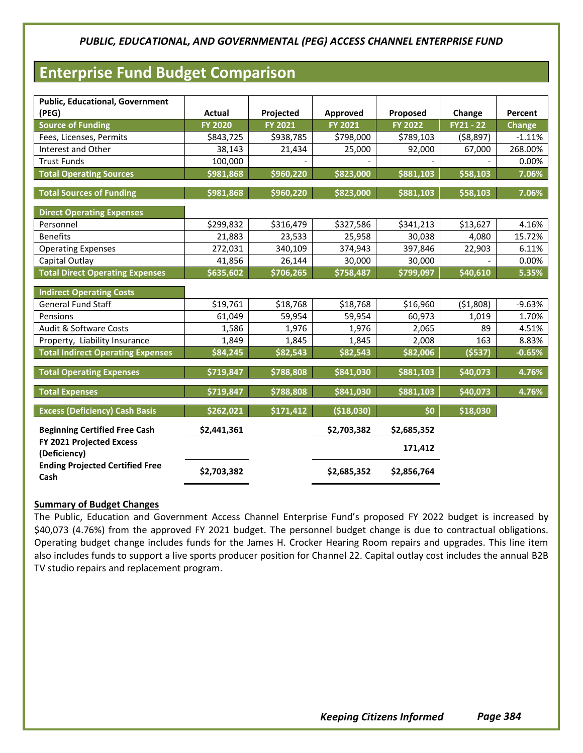## **Enterprise Fund Budget Comparison**

| <b>Public, Educational, Government</b>         |                |           |             |                |            |          |
|------------------------------------------------|----------------|-----------|-------------|----------------|------------|----------|
| (PEG)                                          | <b>Actual</b>  | Projected | Approved    | Proposed       | Change     | Percent  |
| <b>Source of Funding</b>                       | <b>FY 2020</b> | FY 2021   | FY 2021     | <b>FY 2022</b> | FY21 - 22  | Change   |
| Fees, Licenses, Permits                        | \$843,725      | \$938,785 | \$798,000   | \$789,103      | ( \$8,897) | $-1.11%$ |
| Interest and Other                             | 38,143         | 21,434    | 25,000      | 92,000         | 67,000     | 268.00%  |
| <b>Trust Funds</b>                             | 100,000        |           |             |                |            | 0.00%    |
| <b>Total Operating Sources</b>                 | \$981,868      | \$960,220 | \$823,000   | \$881,103      | \$58,103   | 7.06%    |
| <b>Total Sources of Funding</b>                | \$981,868      | \$960,220 | \$823,000   | \$881,103      | \$58,103   | 7.06%    |
| <b>Direct Operating Expenses</b>               |                |           |             |                |            |          |
| Personnel                                      | \$299,832      | \$316,479 | \$327,586   | \$341,213      | \$13,627   | 4.16%    |
| <b>Benefits</b>                                | 21,883         | 23,533    | 25,958      | 30,038         | 4,080      | 15.72%   |
| <b>Operating Expenses</b>                      | 272,031        | 340,109   | 374,943     | 397,846        | 22,903     | 6.11%    |
| Capital Outlay                                 | 41,856         | 26,144    | 30,000      | 30,000         |            | 0.00%    |
| <b>Total Direct Operating Expenses</b>         | \$635,602      | \$706,265 | \$758,487   | \$799,097      | \$40,610   | 5.35%    |
|                                                |                |           |             |                |            |          |
| <b>Indirect Operating Costs</b>                |                |           |             |                |            |          |
| <b>General Fund Staff</b>                      | \$19,761       | \$18,768  | \$18,768    | \$16,960       | (51,808)   | $-9.63%$ |
| Pensions                                       | 61,049         | 59,954    | 59,954      | 60,973         | 1,019      | 1.70%    |
| Audit & Software Costs                         | 1,586          | 1,976     | 1,976       | 2,065          | 89         | 4.51%    |
| Property, Liability Insurance                  | 1,849          | 1,845     | 1,845       | 2,008          | 163        | 8.83%    |
| <b>Total Indirect Operating Expenses</b>       | \$84,245       | \$82,543  | \$82,543    | \$82,006       | (5537)     | $-0.65%$ |
| <b>Total Operating Expenses</b>                | \$719,847      | \$788,808 | \$841,030   | \$881,103      | \$40,073   | 4.76%    |
| <b>Total Expenses</b>                          | \$719,847      | \$788,808 | \$841,030   | \$881,103      | \$40,073   | 4.76%    |
| <b>Excess (Deficiency) Cash Basis</b>          | \$262,021      | \$171,412 | (\$18,030)  | \$0            | \$18,030   |          |
| <b>Beginning Certified Free Cash</b>           | \$2,441,361    |           | \$2,703,382 | \$2,685,352    |            |          |
| FY 2021 Projected Excess<br>(Deficiency)       |                |           |             | 171,412        |            |          |
| <b>Ending Projected Certified Free</b><br>Cash | \$2,703,382    |           | \$2,685,352 | \$2,856,764    |            |          |

#### **Summary of Budget Changes**

The Public, Education and Government Access Channel Enterprise Fund's proposed FY 2022 budget is increased by \$40,073 (4.76%) from the approved FY 2021 budget. The personnel budget change is due to contractual obligations. Operating budget change includes funds for the James H. Crocker Hearing Room repairs and upgrades. This line item also includes funds to support a live sports producer position for Channel 22. Capital outlay cost includes the annual B2B TV studio repairs and replacement program.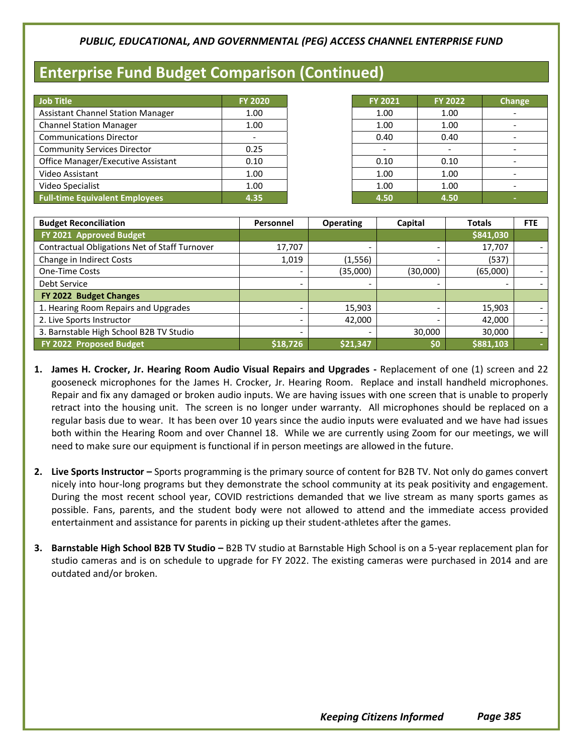## **Enterprise Fund Budget Comparison (Continued)**

| <b>Job Title</b>                          | <b>FY 2020</b> |
|-------------------------------------------|----------------|
| <b>Assistant Channel Station Manager</b>  | 1.00           |
| <b>Channel Station Manager</b>            | 1.00           |
| <b>Communications Director</b>            |                |
| <b>Community Services Director</b>        | 0.25           |
| <b>Office Manager/Executive Assistant</b> | 0.10           |
| Video Assistant                           | 1.00           |
| Video Specialist                          | 1.00           |
| <b>Full-time Equivalent Employees</b>     | 4.35           |

| FY 2021 | <b>FY 2022</b> | Change |
|---------|----------------|--------|
| 1.00    | 1.00           |        |
| 1.00    | 1.00           |        |
| 0.40    | 0.40           |        |
|         |                |        |
| 0.10    | 0.10           |        |
| 1.00    | 1.00           |        |
| 1.00    | 1.00           |        |
| 4.50    | 4.50           |        |

| <b>Budget Reconciliation</b>                  | Personnel                | <b>Operating</b>         | Capital  | <b>Totals</b> | <b>FTE</b> |
|-----------------------------------------------|--------------------------|--------------------------|----------|---------------|------------|
| FY 2021 Approved Budget                       |                          |                          |          | \$841,030     |            |
| Contractual Obligations Net of Staff Turnover | 17,707                   | $\overline{\phantom{a}}$ |          | 17,707        |            |
| Change in Indirect Costs                      | 1,019                    | (1,556)                  |          | (537)         |            |
| <b>One-Time Costs</b>                         | $\overline{\phantom{0}}$ | (35,000)                 | (30,000) | (65,000)      |            |
| Debt Service                                  | $\overline{\phantom{0}}$ |                          |          |               |            |
| FY 2022 Budget Changes                        |                          |                          |          |               |            |
| 1. Hearing Room Repairs and Upgrades          |                          | 15,903                   |          | 15,903        |            |
| 2. Live Sports Instructor                     | $\overline{\phantom{0}}$ | 42,000                   |          | 42,000        |            |
| 3. Barnstable High School B2B TV Studio       | $\overline{\phantom{0}}$ |                          | 30,000   | 30,000        |            |
| FY 2022 Proposed Budget                       | \$18,726                 | \$21,347                 | ا\$0,    | \$881,103     |            |

- **1. James H. Crocker, Jr. Hearing Room Audio Visual Repairs and Upgrades -** Replacement of one (1) screen and 22 gooseneck microphones for the James H. Crocker, Jr. Hearing Room. Replace and install handheld microphones. Repair and fix any damaged or broken audio inputs. We are having issues with one screen that is unable to properly retract into the housing unit. The screen is no longer under warranty. All microphones should be replaced on a regular basis due to wear. It has been over 10 years since the audio inputs were evaluated and we have had issues both within the Hearing Room and over Channel 18. While we are currently using Zoom for our meetings, we will need to make sure our equipment is functional if in person meetings are allowed in the future.
- **2. Live Sports Instructor –** Sports programming is the primary source of content for B2B TV. Not only do games convert nicely into hour-long programs but they demonstrate the school community at its peak positivity and engagement. During the most recent school year, COVID restrictions demanded that we live stream as many sports games as possible. Fans, parents, and the student body were not allowed to attend and the immediate access provided entertainment and assistance for parents in picking up their student-athletes after the games.
- **3. Barnstable High School B2B TV Studio –** B2B TV studio at Barnstable High School is on a 5-year replacement plan for studio cameras and is on schedule to upgrade for FY 2022. The existing cameras were purchased in 2014 and are outdated and/or broken.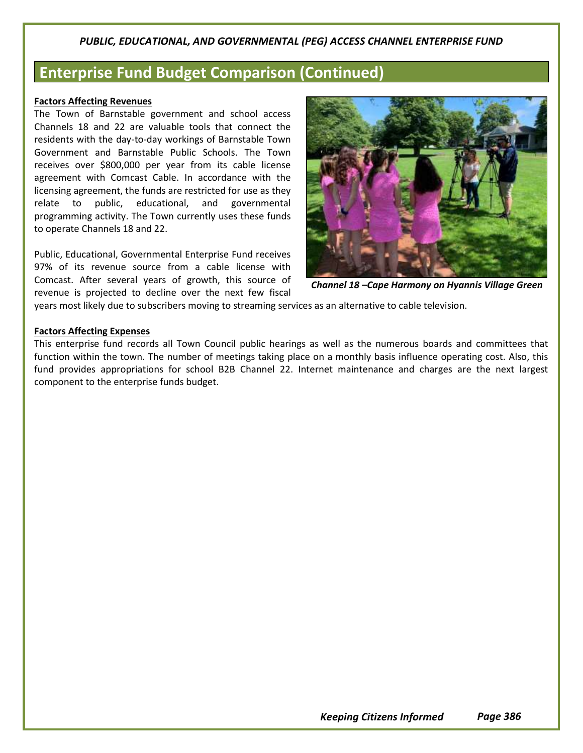## **Enterprise Fund Budget Comparison (Continued)**

#### **Factors Affecting Revenues**

The Town of Barnstable government and school access Channels 18 and 22 are valuable tools that connect the residents with the day-to-day workings of Barnstable Town Government and Barnstable Public Schools. The Town receives over \$800,000 per year from its cable license agreement with Comcast Cable. In accordance with the licensing agreement, the funds are restricted for use as they relate to public, educational, and governmental programming activity. The Town currently uses these funds to operate Channels 18 and 22.

Public, Educational, Governmental Enterprise Fund receives 97% of its revenue source from a cable license with Comcast. After several years of growth, this source of revenue is projected to decline over the next few fiscal



*Channel 18 –Cape Harmony on Hyannis Village Green*

years most likely due to subscribers moving to streaming services as an alternative to cable television.

#### **Factors Affecting Expenses**

This enterprise fund records all Town Council public hearings as well as the numerous boards and committees that function within the town. The number of meetings taking place on a monthly basis influence operating cost. Also, this fund provides appropriations for school B2B Channel 22. Internet maintenance and charges are the next largest component to the enterprise funds budget.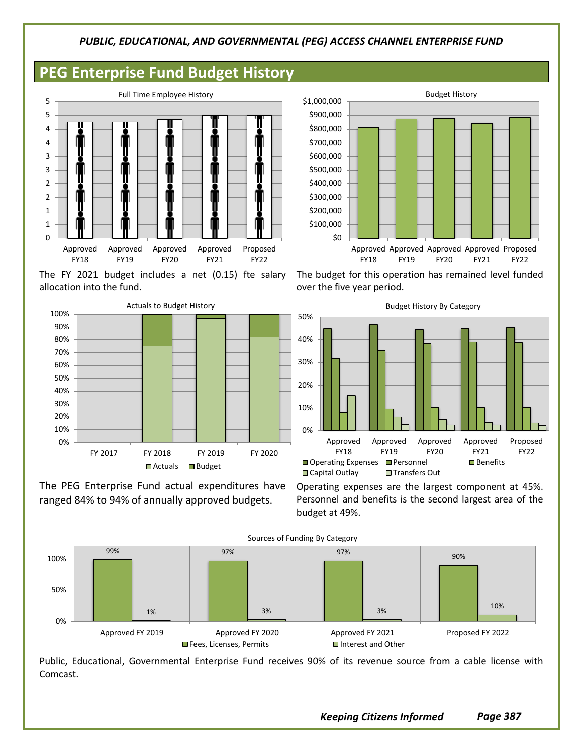## **PEG Enterprise Fund Budget History**



The FY 2021 budget includes a net (0.15) fte salary allocation into the fund.



The PEG Enterprise Fund actual expenditures have ranged 84% to 94% of annually approved budgets.



The budget for this operation has remained level funded over the five year period.



Operating expenses are the largest component at 45%. Personnel and benefits is the second largest area of the budget at 49%.



Public, Educational, Governmental Enterprise Fund receives 90% of its revenue source from a cable license with Comcast.

*Keeping Citizens Informed Page 387*